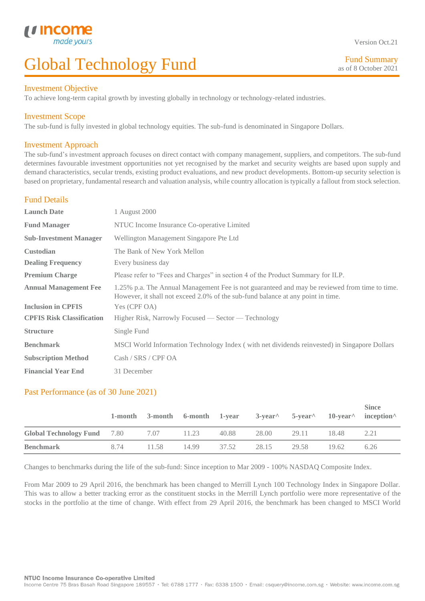#### Investment Objective

L

To achieve long-term capital growth by investing globally in technology or technology-related industries.

# Investment Scope

The sub-fund is fully invested in global technology equities. The sub-fund is denominated in Singapore Dollars.

# Investment Approach

The sub-fund's investment approach focuses on direct contact with company management, suppliers, and competitors. The sub-fund determines favourable investment opportunities not yet recognised by the market and security weights are based upon supply and demand characteristics, secular trends, existing product evaluations, and new product developments. Bottom-up security selection is based on proprietary, fundamental research and valuation analysis, while country allocation is typically a fallout from stock selection.

# Fund Details

| <b>Launch Date</b>               | 1 August 2000                                                                                                                                                                    |  |  |
|----------------------------------|----------------------------------------------------------------------------------------------------------------------------------------------------------------------------------|--|--|
| <b>Fund Manager</b>              | NTUC Income Insurance Co-operative Limited                                                                                                                                       |  |  |
| <b>Sub-Investment Manager</b>    | Wellington Management Singapore Pte Ltd                                                                                                                                          |  |  |
| <b>Custodian</b>                 | The Bank of New York Mellon                                                                                                                                                      |  |  |
| <b>Dealing Frequency</b>         | Every business day                                                                                                                                                               |  |  |
| <b>Premium Charge</b>            | Please refer to "Fees and Charges" in section 4 of the Product Summary for ILP.                                                                                                  |  |  |
| <b>Annual Management Fee</b>     | 1.25% p.a. The Annual Management Fee is not guaranteed and may be reviewed from time to time.<br>However, it shall not exceed 2.0% of the sub-fund balance at any point in time. |  |  |
| <b>Inclusion in CPFIS</b>        | Yes (CPF OA)                                                                                                                                                                     |  |  |
| <b>CPFIS Risk Classification</b> | Higher Risk, Narrowly Focused — Sector — Technology                                                                                                                              |  |  |
| <b>Structure</b>                 | Single Fund                                                                                                                                                                      |  |  |
| <b>Benchmark</b>                 | MSCI World Information Technology Index (with net dividends reinvested) in Singapore Dollars                                                                                     |  |  |
| <b>Subscription Method</b>       | Cash / SRS / CPF OA                                                                                                                                                              |  |  |
| <b>Financial Year End</b>        | 31 December                                                                                                                                                                      |  |  |

# Past Performance (as of 30 June 2021)

|                                    |      |       | 1-month 3-month 6-month 1-year |       |       | $3$ -year <sup><math>\land</math></sup> 5-year $\land$ | $10$ -vear $^{\wedge}$ | <b>Since</b><br>$incention^{\wedge}$ |
|------------------------------------|------|-------|--------------------------------|-------|-------|--------------------------------------------------------|------------------------|--------------------------------------|
| <b>Global Technology Fund</b> 7.80 |      | 7.07  | 11.23                          | 40.88 | 28.00 | 29.11                                                  | 18.48                  | 2.21                                 |
| <b>Benchmark</b>                   | 8.74 | 11.58 | 14.99                          | 37.52 | 28.15 | 29.58                                                  | 19.62                  | 6.26                                 |

Changes to benchmarks during the life of the sub-fund: Since inception to Mar 2009 - 100% NASDAQ Composite Index.

From Mar 2009 to 29 April 2016, the benchmark has been changed to Merrill Lynch 100 Technology Index in Singapore Dollar. This was to allow a better tracking error as the constituent stocks in the Merrill Lynch portfolio were more representative of the stocks in the portfolio at the time of change. With effect from 29 April 2016, the benchmark has been changed to MSCI World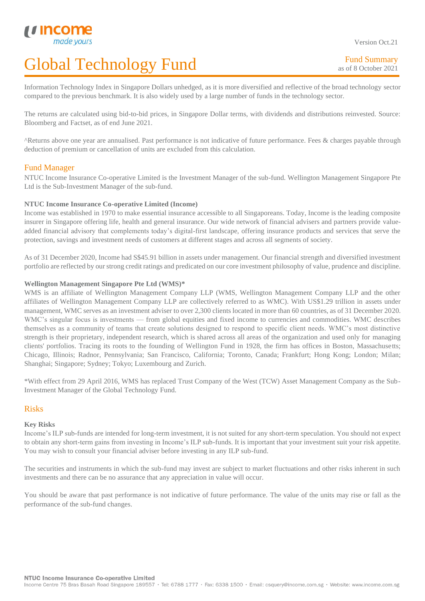Fund Summary as of 8 October 2021

Information Technology Index in Singapore Dollars unhedged, as it is more diversified and reflective of the broad technology sector compared to the previous benchmark. It is also widely used by a large number of funds in the technology sector.

The returns are calculated using bid-to-bid prices, in Singapore Dollar terms, with dividends and distributions reinvested. Source: Bloomberg and Factset, as of end June 2021.

^Returns above one year are annualised. Past performance is not indicative of future performance. Fees & charges payable through deduction of premium or cancellation of units are excluded from this calculation.

# Fund Manager

L

NTUC Income Insurance Co-operative Limited is the Investment Manager of the sub-fund. Wellington Management Singapore Pte Ltd is the Sub-Investment Manager of the sub-fund.

#### **NTUC Income Insurance Co-operative Limited (Income)**

Income was established in 1970 to make essential insurance accessible to all Singaporeans. Today, Income is the leading composite insurer in Singapore offering life, health and general insurance. Our wide network of financial advisers and partners provide valueadded financial advisory that complements today's digital-first landscape, offering insurance products and services that serve the protection, savings and investment needs of customers at different stages and across all segments of society.

As of 31 December 2020, Income had S\$45.91 billion in assets under management. Our financial strength and diversified investment portfolio are reflected by our strong credit ratings and predicated on our core investment philosophy of value, prudence and discipline.

#### **Wellington Management Singapore Pte Ltd (WMS)\***

WMS is an affiliate of Wellington Management Company LLP (WMS, Wellington Management Company LLP and the other affiliates of Wellington Management Company LLP are collectively referred to as WMC). With US\$1.29 trillion in assets under management, WMC serves as an investment adviser to over 2,300 clients located in more than 60 countries, as of 31 December 2020. WMC's singular focus is investments — from global equities and fixed income to currencies and commodities. WMC describes themselves as a community of teams that create solutions designed to respond to specific client needs. WMC's most distinctive strength is their proprietary, independent research, which is shared across all areas of the organization and used only for managing clients' portfolios. Tracing its roots to the founding of Wellington Fund in 1928, the firm has offices in Boston, Massachusetts; Chicago, Illinois; Radnor, Pennsylvania; San Francisco, California; Toronto, Canada; Frankfurt; Hong Kong; London; Milan; Shanghai; Singapore; Sydney; Tokyo; Luxembourg and Zurich.

\*With effect from 29 April 2016, WMS has replaced Trust Company of the West (TCW) Asset Management Company as the Sub-Investment Manager of the Global Technology Fund.

#### Risks

#### **Key Risks**

Income's ILP sub-funds are intended for long-term investment, it is not suited for any short-term speculation. You should not expect to obtain any short-term gains from investing in Income's ILP sub-funds. It is important that your investment suit your risk appetite. You may wish to consult your financial adviser before investing in any ILP sub-fund.

The securities and instruments in which the sub-fund may invest are subject to market fluctuations and other risks inherent in such investments and there can be no assurance that any appreciation in value will occur.

You should be aware that past performance is not indicative of future performance. The value of the units may rise or fall as the performance of the sub-fund changes.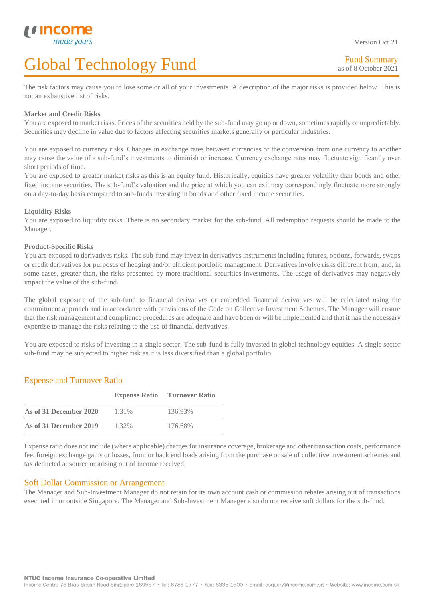The risk factors may cause you to lose some or all of your investments. A description of the major risks is provided below. This is not an exhaustive list of risks.

#### **Market and Credit Risks**

L

You are exposed to market risks. Prices of the securities held by the sub-fund may go up or down, sometimes rapidly or unpredictably. Securities may decline in value due to factors affecting securities markets generally or particular industries.

You are exposed to currency risks. Changes in exchange rates between currencies or the conversion from one currency to another may cause the value of a sub-fund's investments to diminish or increase. Currency exchange rates may fluctuate significantly over short periods of time.

You are exposed to greater market risks as this is an equity fund. Historically, equities have greater volatility than bonds and other fixed income securities. The sub-fund's valuation and the price at which you can exit may correspondingly fluctuate more strongly on a day-to-day basis compared to sub-funds investing in bonds and other fixed income securities.

#### **Liquidity Risks**

You are exposed to liquidity risks. There is no secondary market for the sub-fund. All redemption requests should be made to the Manager.

#### **Product-Specific Risks**

You are exposed to derivatives risks. The sub-fund may invest in derivatives instruments including futures, options, forwards, swaps or credit derivatives for purposes of hedging and/or efficient portfolio management. Derivatives involve risks different from, and, in some cases, greater than, the risks presented by more traditional securities investments. The usage of derivatives may negatively impact the value of the sub-fund.

The global exposure of the sub-fund to financial derivatives or embedded financial derivatives will be calculated using the commitment approach and in accordance with provisions of the Code on Collective Investment Schemes. The Manager will ensure that the risk management and compliance procedures are adequate and have been or will be implemented and that it has the necessary expertise to manage the risks relating to the use of financial derivatives.

You are exposed to risks of investing in a single sector. The sub-fund is fully invested in global technology equities. A single sector sub-fund may be subjected to higher risk as it is less diversified than a global portfolio.

# Expense and Turnover Ratio

|                        |       | <b>Expense Ratio</b> Turnover Ratio |
|------------------------|-------|-------------------------------------|
| As of 31 December 2020 | 1.31% | 136.93%                             |
| As of 31 December 2019 | 1.32% | 176.68%                             |

Expense ratio does not include (where applicable) charges for insurance coverage, brokerage and other transaction costs, performance fee, foreign exchange gains or losses, front or back end loads arising from the purchase or sale of collective investment schemes and tax deducted at source or arising out of income received.

#### Soft Dollar Commission or Arrangement

The Manager and Sub-Investment Manager do not retain for its own account cash or commission rebates arising out of transactions executed in or outside Singapore. The Manager and Sub-Investment Manager also do not receive soft dollars for the sub-fund.